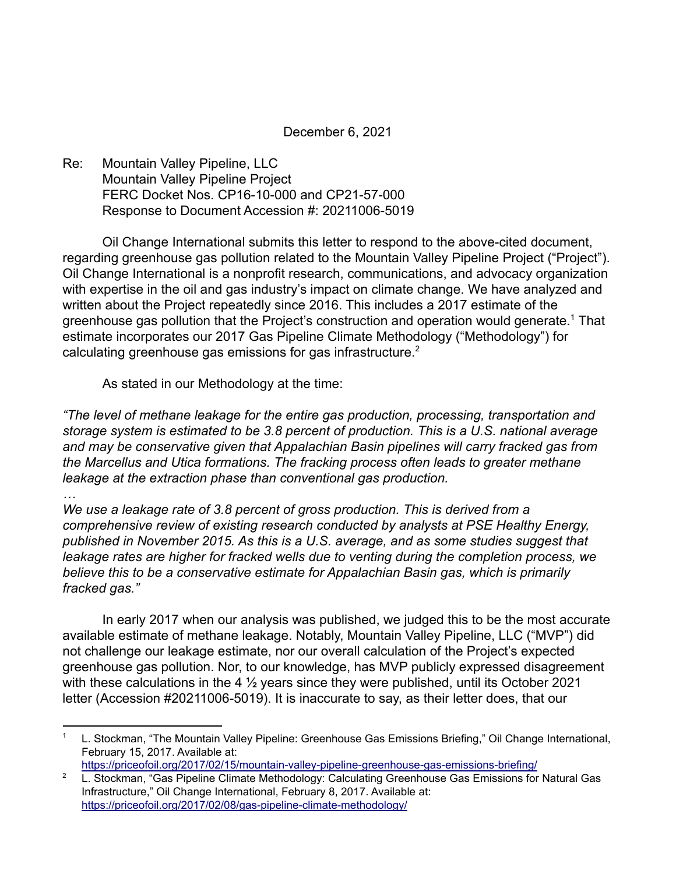December 6, 2021

Re: Mountain Valley Pipeline, LLC Mountain Valley Pipeline Project FERC Docket Nos. CP16-10-000 and CP21-57-000 Response to Document Accession #: 20211006-5019

Oil Change International submits this letter to respond to the above-cited document, regarding greenhouse gas pollution related to the Mountain Valley Pipeline Project ("Project"). Oil Change International is a nonprofit research, communications, and advocacy organization with expertise in the oil and gas industry's impact on climate change. We have analyzed and written about the Project repeatedly since 2016. This includes a 2017 estimate of the greenhouse gas pollution that the Project's construction and operation would generate.<sup>1</sup> That estimate incorporates our 2017 Gas Pipeline Climate Methodology ("Methodology") for calculating greenhouse gas emissions for gas infrastructure.<sup>2</sup>

As stated in our Methodology at the time:

*"The level of methane leakage for the entire gas production, processing, transportation and storage system is estimated to be 3.8 percent of production. This is a U.S. national average and may be conservative given that Appalachian Basin pipelines will carry fracked gas from the Marcellus and Utica formations. The fracking process often leads to greater methane leakage at the extraction phase than conventional gas production.*

*…*

*We use a leakage rate of 3.8 percent of gross production. This is derived from a comprehensive review of existing research conducted by analysts at PSE Healthy Energy, published in November 2015. As this is a U.S. average, and as some studies suggest that leakage rates are higher for fracked wells due to venting during the completion process, we believe this to be a conservative estimate for Appalachian Basin gas, which is primarily fracked gas."*

In early 2017 when our analysis was published, we judged this to be the most accurate available estimate of methane leakage. Notably, Mountain Valley Pipeline, LLC ("MVP") did not challenge our leakage estimate, nor our overall calculation of the Project's expected greenhouse gas pollution. Nor, to our knowledge, has MVP publicly expressed disagreement with these calculations in the 4  $\frac{1}{2}$  years since they were published, until its October 2021 letter (Accession #20211006-5019). It is inaccurate to say, as their letter does, that our

<sup>&</sup>lt;sup>1</sup> L. Stockman, "The Mountain Valley Pipeline: Greenhouse Gas Emissions Briefing," Oil Change International, February 15, 2017. Available at:

<https://priceofoil.org/2017/02/15/mountain-valley-pipeline-greenhouse-gas-emissions-briefing/>

<sup>&</sup>lt;sup>2</sup> L. Stockman, "Gas Pipeline Climate Methodology: Calculating Greenhouse Gas Emissions for Natural Gas Infrastructure," Oil Change International, February 8, 2017. Available at: <https://priceofoil.org/2017/02/08/gas-pipeline-climate-methodology/>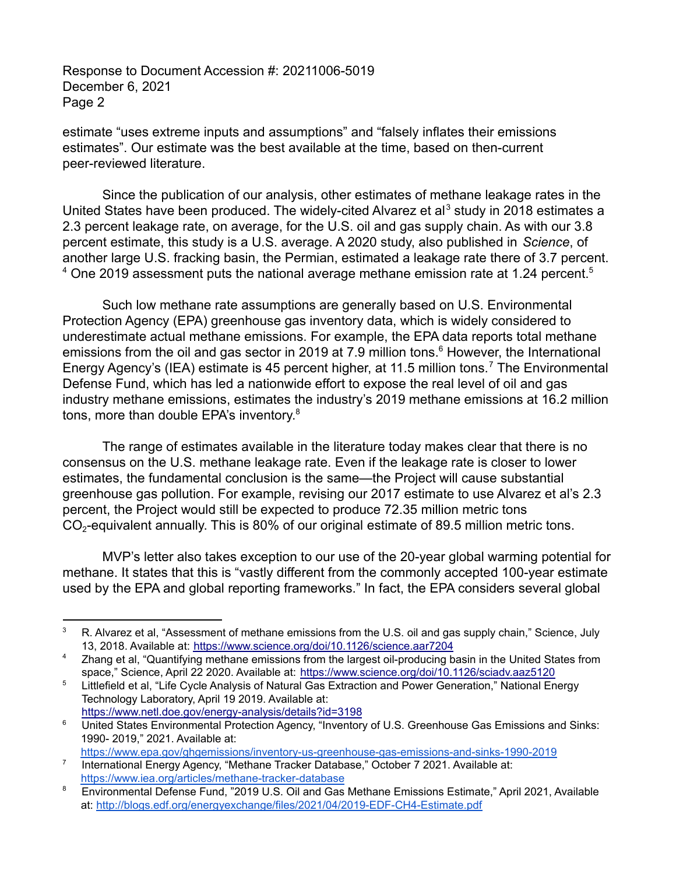estimate "uses extreme inputs and assumptions" and "falsely inflates their emissions estimates". Our estimate was the best available at the time, based on then-current peer-reviewed literature.

Since the publication of our analysis, other estimates of methane leakage rates in the United States have been produced. The widely-cited Alvarez et al<sup>3</sup> study in 2018 estimates a 2.3 percent leakage rate, on average, for the U.S. oil and gas supply chain. As with our 3.8 percent estimate, this study is a U.S. average. A 2020 study, also published in *Science*, of another large U.S. fracking basin, the Permian, estimated a leakage rate there of 3.7 percent.  $4$  One 2019 assessment puts the national average methane emission rate at 1.24 percent.<sup>5</sup>

Such low methane rate assumptions are generally based on U.S. Environmental Protection Agency (EPA) greenhouse gas inventory data, which is widely considered to underestimate actual methane emissions. For example, the EPA data reports total methane emissions from the oil and gas sector in 2019 at 7.9 million tons. $<sup>6</sup>$  However, the International</sup> Energy Agency's (IEA) estimate is 45 percent higher, at 11.5 million tons.<sup>7</sup> The Environmental Defense Fund, which has led a nationwide effort to expose the real level of oil and gas industry methane emissions, estimates the industry's 2019 methane emissions at 16.2 million tons, more than double EPA's inventory.<sup>8</sup>

The range of estimates available in the literature today makes clear that there is no consensus on the U.S. methane leakage rate. Even if the leakage rate is closer to lower estimates, the fundamental conclusion is the same—the Project will cause substantial greenhouse gas pollution. For example, revising our 2017 estimate to use Alvarez et al's 2.3 percent, the Project would still be expected to produce 72.35 million metric tons  $CO<sub>2</sub>$ -equivalent annually. This is 80% of our original estimate of 89.5 million metric tons.

MVP's letter also takes exception to our use of the 20-year global warming potential for methane. It states that this is "vastly different from the commonly accepted 100-year estimate used by the EPA and global reporting frameworks." In fact, the EPA considers several global

<sup>&</sup>lt;sup>3</sup> R. Alvarez et al, "Assessment of methane emissions from the U.S. oil and gas supply chain," Science, July 13, 2018. Available at: <https://www.science.org/doi/10.1126/science.aar7204>

<sup>&</sup>lt;sup>4</sup> Zhang et al, "Quantifying methane emissions from the largest oil-producing basin in the United States from space," Science, April 22 2020. Available at: <https://www.science.org/doi/10.1126/sciadv.aaz5120>

<sup>&</sup>lt;sup>5</sup> Littlefield et al, "Life Cycle Analysis of Natural Gas Extraction and Power Generation," National Energy Technology Laboratory, April 19 2019. Available at: <https://www.netl.doe.gov/energy-analysis/details?id=3198>

<sup>&</sup>lt;sup>6</sup> United States Environmental Protection Agency, "Inventory of U.S. Greenhouse Gas Emissions and Sinks: 1990- 2019," 2021. Available at:

<https://www.epa.gov/ghgemissions/inventory-us-greenhouse-gas-emissions-and-sinks-1990-2019>

<sup>&</sup>lt;sup>7</sup> International Energy Agency, "Methane Tracker Database," October 7 2021. Available at: <https://www.iea.org/articles/methane-tracker-database>

<sup>&</sup>lt;sup>8</sup> Environmental Defense Fund, "2019 U.S. Oil and Gas Methane Emissions Estimate," April 2021, Available at: <http://blogs.edf.org/energyexchange/files/2021/04/2019-EDF-CH4-Estimate.pdf>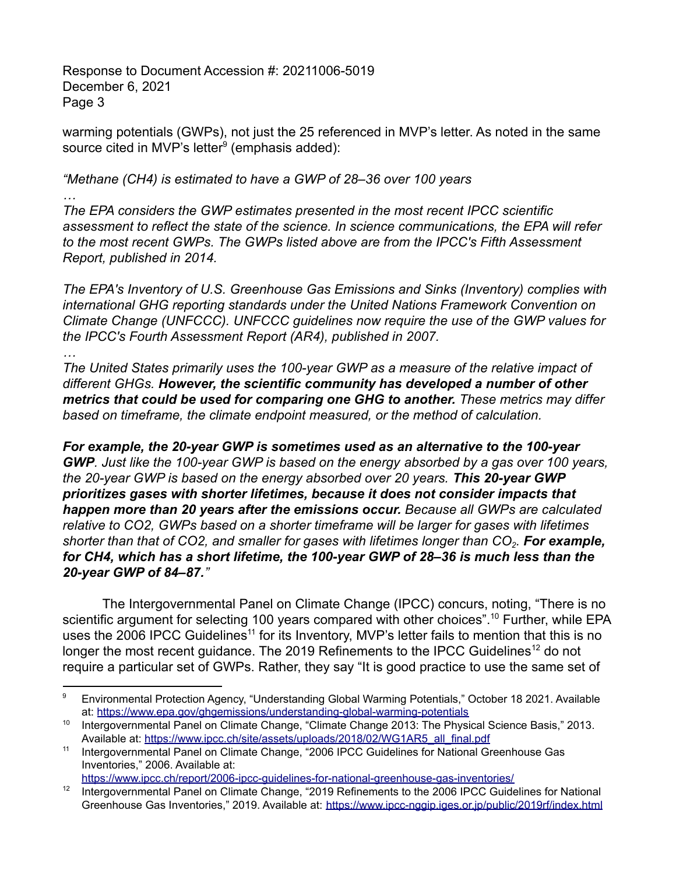*…*

warming potentials (GWPs), not just the 25 referenced in MVP's letter. As noted in the same source cited in MVP's letter $9$  (emphasis added):

*"Methane (CH4) is estimated to have a GWP of 28–36 over 100 years*

*The EPA considers the GWP estimates presented in the most recent IPCC scientific assessment to reflect the state of the science. In science communications, the EPA will refer to the most recent GWPs. The GWPs listed above are from the IPCC's Fifth Assessment Report, published in 2014.*

*The EPA's Inventory of U.S. Greenhouse Gas Emissions and Sinks (Inventory) complies with international GHG reporting standards under the United Nations Framework Convention on Climate Change (UNFCCC). UNFCCC guidelines now require the use of the GWP values for the IPCC's Fourth Assessment Report (AR4), published in 2007.*

*… The United States primarily uses the 100-year GWP as a measure of the relative impact of different GHGs. However, the scientific community has developed a number of other metrics that could be used for comparing one GHG to another. These metrics may differ based on timeframe, the climate endpoint measured, or the method of calculation.*

*For example, the 20-year GWP is sometimes used as an alternative to the 100-year GWP. Just like the 100-year GWP is based on the energy absorbed by a gas over 100 years, the 20-year GWP is based on the energy absorbed over 20 years. This 20-year GWP prioritizes gases with shorter lifetimes, because it does not consider impacts that happen more than 20 years after the emissions occur. Because all GWPs are calculated relative to CO2, GWPs based on a shorter timeframe will be larger for gases with lifetimes shorter than that of CO2, and smaller for gases with lifetimes longer than CO<sup>2</sup> . For example, for CH4, which has a short lifetime, the 100-year GWP of 28–36 is much less than the 20-year GWP of 84–87."*

The Intergovernmental Panel on Climate Change (IPCC) concurs, noting, "There is no scientific argument for selecting 100 years compared with other choices".<sup>10</sup> Further, while EPA uses the 2006 IPCC Guidelines<sup>11</sup> for its Inventory, MVP's letter fails to mention that this is no longer the most recent guidance. The 2019 Refinements to the IPCC Guidelines<sup>12</sup> do not require a particular set of GWPs. Rather, they say "It is good practice to use the same set of

<https://www.ipcc.ch/report/2006-ipcc-guidelines-for-national-greenhouse-gas-inventories/>

<sup>9</sup> Environmental Protection Agency, "Understanding Global Warming Potentials," October 18 2021. Available at: <https://www.epa.gov/ghgemissions/understanding-global-warming-potentials>

<sup>&</sup>lt;sup>10</sup> Intergovernmental Panel on Climate Change, "Climate Change 2013: The Physical Science Basis," 2013. Available at: [https://www.ipcc.ch/site/assets/uploads/2018/02/WG1AR5\\_all\\_final.pdf](https://www.ipcc.ch/site/assets/uploads/2018/02/WG1AR5_all_final.pdf)

<sup>&</sup>lt;sup>11</sup> Intergovernmental Panel on Climate Change, "2006 IPCC Guidelines for National Greenhouse Gas Inventories," 2006. Available at:

<sup>&</sup>lt;sup>12</sup> Intergovernmental Panel on Climate Change, "2019 Refinements to the 2006 IPCC Guidelines for National Greenhouse Gas Inventories," 2019. Available at: <https://www.ipcc-nggip.iges.or.jp/public/2019rf/index.html>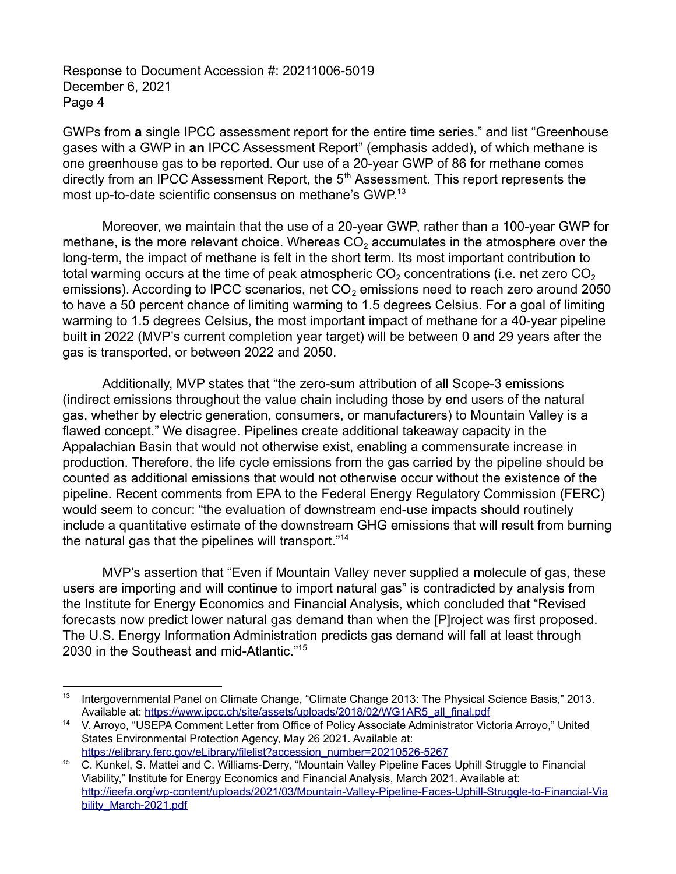GWPs from **a** single IPCC assessment report for the entire time series." and list "Greenhouse gases with a GWP in **an** IPCC Assessment Report" (emphasis added), of which methane is one greenhouse gas to be reported. Our use of a 20-year GWP of 86 for methane comes directly from an IPCC Assessment Report, the  $5<sup>th</sup>$  Assessment. This report represents the most up-to-date scientific consensus on methane's GWP.<sup>13</sup>

Moreover, we maintain that the use of a 20-year GWP, rather than a 100-year GWP for methane, is the more relevant choice. Whereas  $CO<sub>2</sub>$  accumulates in the atmosphere over the long-term, the impact of methane is felt in the short term. Its most important contribution to total warming occurs at the time of peak atmospheric  $CO<sub>2</sub>$  concentrations (i.e. net zero  $CO<sub>2</sub>$ emissions). According to IPCC scenarios, net  $CO<sub>2</sub>$  emissions need to reach zero around 2050 to have a 50 percent chance of limiting warming to 1.5 degrees Celsius. For a goal of limiting warming to 1.5 degrees Celsius, the most important impact of methane for a 40-year pipeline built in 2022 (MVP's current completion year target) will be between 0 and 29 years after the gas is transported, or between 2022 and 2050.

Additionally, MVP states that "the zero-sum attribution of all Scope-3 emissions (indirect emissions throughout the value chain including those by end users of the natural gas, whether by electric generation, consumers, or manufacturers) to Mountain Valley is a flawed concept." We disagree. Pipelines create additional takeaway capacity in the Appalachian Basin that would not otherwise exist, enabling a commensurate increase in production. Therefore, the life cycle emissions from the gas carried by the pipeline should be counted as additional emissions that would not otherwise occur without the existence of the pipeline. Recent comments from EPA to the Federal Energy Regulatory Commission (FERC) would seem to concur: "the evaluation of downstream end-use impacts should routinely include a quantitative estimate of the downstream GHG emissions that will result from burning the natural gas that the pipelines will transport."<sup>14</sup>

MVP's assertion that "Even if Mountain Valley never supplied a molecule of gas, these users are importing and will continue to import natural gas" is contradicted by analysis from the Institute for Energy Economics and Financial Analysis, which concluded that "Revised forecasts now predict lower natural gas demand than when the [P]roject was first proposed. The U.S. Energy Information Administration predicts gas demand will fall at least through 2030 in the Southeast and mid-Atlantic."<sup>15</sup>

<sup>13</sup> Intergovernmental Panel on Climate Change, "Climate Change 2013: The Physical Science Basis," 2013. Available at: [https://www.ipcc.ch/site/assets/uploads/2018/02/WG1AR5\\_all\\_final.pdf](https://www.ipcc.ch/site/assets/uploads/2018/02/WG1AR5_all_final.pdf)

<sup>14</sup> V. Arroyo, "USEPA Comment Letter from Office of Policy Associate Administrator Victoria Arroyo," United States Environmental Protection Agency, May 26 2021. Available at: [https://elibrary.ferc.gov/eLibrary/filelist?accession\\_number=20210526-5267](https://elibrary.ferc.gov/eLibrary/filelist?accession_number=20210526-5267)

<sup>&</sup>lt;sup>15</sup> C. Kunkel, S. Mattei and C. Williams-Derry, "Mountain Valley Pipeline Faces Uphill Struggle to Financial Viability," Institute for Energy Economics and Financial Analysis, March 2021. Available at: [http://ieefa.org/wp-content/uploads/2021/03/Mountain-Valley-Pipeline-Faces-Uphill-Struggle-to-Financial-Via](http://ieefa.org/wp-content/uploads/2021/03/Mountain-Valley-Pipeline-Faces-Uphill-Struggle-to-Financial-Viability_March-2021.pdf) [bility\\_March-2021.pdf](http://ieefa.org/wp-content/uploads/2021/03/Mountain-Valley-Pipeline-Faces-Uphill-Struggle-to-Financial-Viability_March-2021.pdf)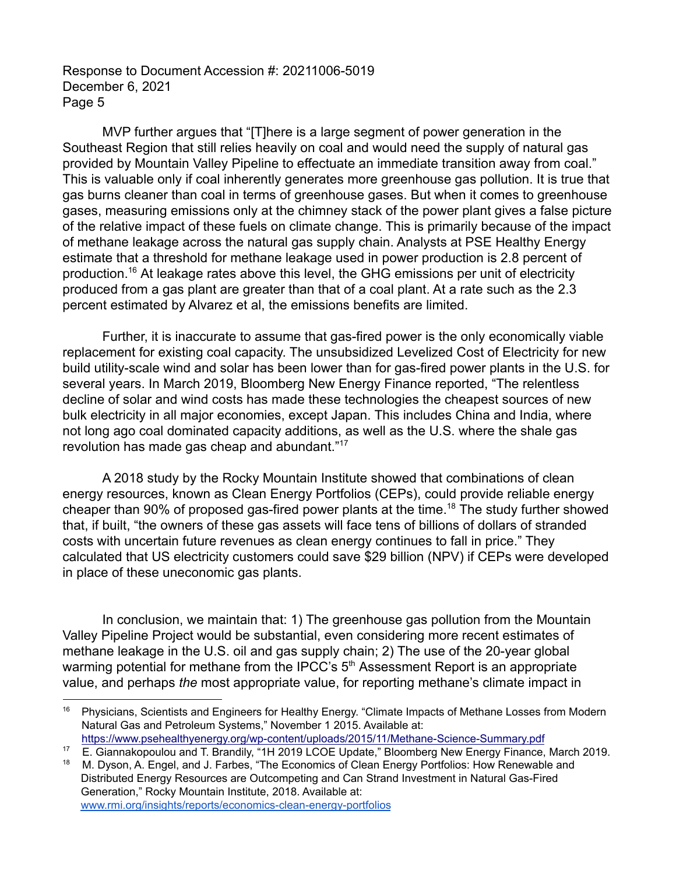MVP further argues that "[T]here is a large segment of power generation in the Southeast Region that still relies heavily on coal and would need the supply of natural gas provided by Mountain Valley Pipeline to effectuate an immediate transition away from coal." This is valuable only if coal inherently generates more greenhouse gas pollution. It is true that gas burns cleaner than coal in terms of greenhouse gases. But when it comes to greenhouse gases, measuring emissions only at the chimney stack of the power plant gives a false picture of the relative impact of these fuels on climate change. This is primarily because of the impact of methane leakage across the natural gas supply chain. Analysts at PSE Healthy Energy estimate that a threshold for methane leakage used in power production is 2.8 percent of production.<sup>16</sup> At leakage rates above this level, the GHG emissions per unit of electricity produced from a gas plant are greater than that of a coal plant. At a rate such as the 2.3 percent estimated by Alvarez et al, the emissions benefits are limited.

Further, it is inaccurate to assume that gas-fired power is the only economically viable replacement for existing coal capacity. The unsubsidized Levelized Cost of Electricity for new build utility-scale wind and solar has been lower than for gas-fired power plants in the U.S. for several years. In March 2019, Bloomberg New Energy Finance reported, "The relentless decline of solar and wind costs has made these technologies the cheapest sources of new bulk electricity in all major economies, except Japan. This includes China and India, where not long ago coal dominated capacity additions, as well as the U.S. where the shale gas revolution has made gas cheap and abundant."<sup>17</sup>

A 2018 study by the Rocky Mountain Institute showed that combinations of clean energy resources, known as Clean Energy Portfolios (CEPs), could provide reliable energy cheaper than 90% of proposed gas-fired power plants at the time.<sup>18</sup> The study further showed that, if built, "the owners of these gas assets will face tens of billions of dollars of stranded costs with uncertain future revenues as clean energy continues to fall in price." They calculated that US electricity customers could save \$29 billion (NPV) if CEPs were developed in place of these uneconomic gas plants.

In conclusion, we maintain that: 1) The greenhouse gas pollution from the Mountain Valley Pipeline Project would be substantial, even considering more recent estimates of methane leakage in the U.S. oil and gas supply chain; 2) The use of the 20-year global warming potential for methane from the IPCC's  $5<sup>th</sup>$  Assessment Report is an appropriate value, and perhaps *the* most appropriate value, for reporting methane's climate impact in

<sup>&</sup>lt;sup>16</sup> Physicians, Scientists and Engineers for Healthy Energy. "Climate Impacts of Methane Losses from Modern Natural Gas and Petroleum Systems," November 1 2015. Available at: <https://www.psehealthyenergy.org/wp-content/uploads/2015/11/Methane-Science-Summary.pdf>

<sup>&</sup>lt;sup>17</sup> E. Giannakopoulou and T. Brandily, "1H 2019 LCOE Update," Bloomberg New Energy Finance, March 2019.

M. Dyson, A. Engel, and J. Farbes, "The Economics of Clean Energy Portfolios: How Renewable and Distributed Energy Resources are Outcompeting and Can Strand Investment in Natural Gas-Fired Generation," Rocky Mountain Institute, 2018. Available at: [www.rmi.org/insights/reports/economics-clean-energy-portfolios](http://www.rmi.org/insights/reports/economics-clean-energy-portfolios)